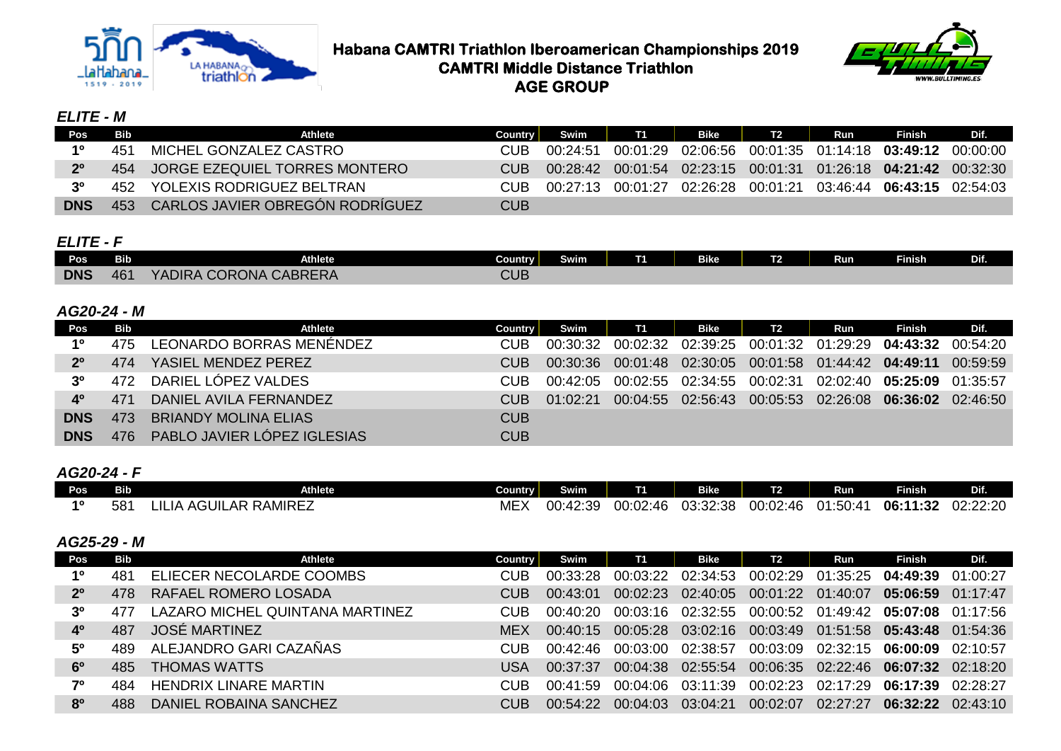



## *ELITE - M*

| Pos         | Bib | Athlete                           | Country | Swim     | <b>T1</b> | Bike                                                                   | T2 | Run | Finish | Dif. |
|-------------|-----|-----------------------------------|---------|----------|-----------|------------------------------------------------------------------------|----|-----|--------|------|
| 10          | 451 | MICHEL GONZALEZ CASTRO            |         | 00.24.51 | 00:01:29  | 02:06:56 00:01:35 01:14:18 03:49:12 00:00:00                           |    |     |        |      |
| $2^{\circ}$ |     | 454 JORGE EZEQUIEL TORRES MONTERO | CUB.    | 00:28:42 |           | $00:01:54$ $02:23:15$ $00:01:31$ $01:26:18$ <b>04:21:42</b> $00:32:30$ |    |     |        |      |
| -20         | 452 | YOLEXIS RODRIGUEZ BELTRAN         | CU JB   | 00:27:13 | 00:01:27  | 02:26:28 00:01:21 03:46:44 06:43:15 02:54:03                           |    |     |        |      |
| <b>DNS</b>  | 453 | CARLOS JAVIER OBREGÓN RODRÍGUEZ   | CUB     |          |           |                                                                        |    |     |        |      |

## *ELITE - F*

| Pos        | <b>Bib</b> | <b>Athlete</b>                          | Country <b>I</b> | <b>Swim</b> | -- | <b>Bike</b> | $\mathbf{r}$<br>$\mathbf{z}$ | Run | <b>Finish</b> | Dif. |
|------------|------------|-----------------------------------------|------------------|-------------|----|-------------|------------------------------|-----|---------------|------|
| <b>DNS</b> | 461        | <b>\CORONA CABRERA</b><br><b>YADIRA</b> | CUB              |             |    |             |                              |     |               |      |

## *AG20-24 - M*

| Pos.           | Bib             | <b>Athlete</b>                     | <b>Country</b> | Swim     | <b>T1</b> | <b>Bike</b> | T <sub>2</sub> | Run                                              | <b>Finish</b> | Dif.     |
|----------------|-----------------|------------------------------------|----------------|----------|-----------|-------------|----------------|--------------------------------------------------|---------------|----------|
| 10             | 475             | LEONARDO BORRAS MENÉNDEZ           | CUB.           | 00:30:32 | 00:02:32  |             |                | 02:39:25 00:01:32 01:29:29 <b>04:43:32</b>       |               | 00:54:20 |
| 2 <sup>0</sup> | 474             | YASIEL MENDEZ PEREZ                | CUB.           | 00:30:36 |           |             |                | 00:01:48  02:30:05  00:01:58  01:44:42  04:49:11 |               | 00:59:59 |
| 3 <sup>0</sup> | 472             | DARIEL LÓPEZ VALDES                | CUB.           | 00:42:05 |           |             |                |                                                  |               | 01:35:57 |
| 40             | 47 <sup>4</sup> | DANIEL AVILA FERNANDEZ             | CUB            | 01.02.21 | 00:04:55  |             |                |                                                  |               | 02.46.50 |
| <b>DNS</b>     | 473             | <b>BRIANDY MOLINA ELIAS</b>        | CUB            |          |           |             |                |                                                  |               |          |
| <b>DNS</b>     | 476.            | <b>PABLO JAVIER LÓPEZ IGLESIAS</b> | <b>CUB</b>     |          |           |             |                |                                                  |               |          |

## *AG20-24 - F*

| POS. | Bib       | <b>Athlete</b>                    | Country                    | Swim                        | -             | <b>Bike</b>                                 | $\overline{a}$<br>. .  | Run           | <b>Finish</b> | Dif.              |
|------|-----------|-----------------------------------|----------------------------|-----------------------------|---------------|---------------------------------------------|------------------------|---------------|---------------|-------------------|
| 40   | 521<br>UU | <b>AR RAMIREZ</b><br>AGUIL<br>-IL | $\Delta$ A $\Gamma$<br>ME. | 10.30<br>00:<br>ά.<br>72.JJ | 00:02<br>2:46 | $\cap$ $\sim$<br>פ⊳∙כי⊳<br>JJ.JZ<br>$\cdot$ | 00:02<br>$O·\Delta$ ra | 01:50:41<br>. | 06:1<br>1:32  | 0.00.00<br>$\sim$ |

## *AG25-29 - M*

| Pos            | <b>Bib</b> | <b>Athlete</b>                  | <b>Country</b> | Swim     | <b>T1</b> | Bike     | T <sub>2</sub>                      | Run                          | <b>Finish</b>                                | Dif.     |
|----------------|------------|---------------------------------|----------------|----------|-----------|----------|-------------------------------------|------------------------------|----------------------------------------------|----------|
| 10             | 481        | ELIECER NECOLARDE COOMBS        | CUB            | 00.33.28 | 00:03:22  |          | 02:34:53 00:02:29 01:35:25 04:49:39 |                              |                                              | 01:00:27 |
| 2 <sup>o</sup> | 478        | RAFAEL ROMERO LOSADA            | CUB.           | 00:43:01 | 00:02:23  | 02:40:05 | 00:01:22                            | 01:40:07                     | 05:06:59                                     | 01.17.47 |
| 3 <sup>0</sup> | 477        | LAZARO MICHEL QUINTANA MARTINEZ | CUB.           | 00:40:20 | 00:03:16  |          |                                     |                              | 02:32:55 00:00:52 01:49:42 05:07:08 01:17:56 |          |
| 40             | 487        | JOSÉ MARTINEZ                   | <b>MEX</b>     | 00:40:15 | 00:05:28  |          |                                     |                              | 03:02:16 00:03:49 01:51:58 05:43:48 01:54:36 |          |
| 50             | 489        | ALEJANDRO GARI CAZAÑAS          | CUB.           | 00:42:46 | 00:03:00  | 02:38:57 |                                     | 00:03:09  02:32:15  06:00:09 |                                              | 02.10.57 |
| 6 <sup>0</sup> | 485.       | <b>THOMAS WATTS</b>             | USA            | 00:37:37 | 00:04:38  |          |                                     |                              | 02:55:54 00:06:35 02:22:46 06:07:32 02:18:20 |          |
| 70             | 484        | <b>HENDRIX LINARE MARTIN</b>    | CUB            | 00:41:59 | 00:04:06  | 03:11:39 | 00:02:23                            | 02:17:29                     | 06:17:39                                     | 02.28.27 |
| 80             | 488.       | DANIEL ROBAINA SANCHEZ          | CUB            | 00.54.22 | 00:04:03  | 03:04:21 | 00:02:07                            | 02:27:27                     | $06:32:22 \quad 02:43:10$                    |          |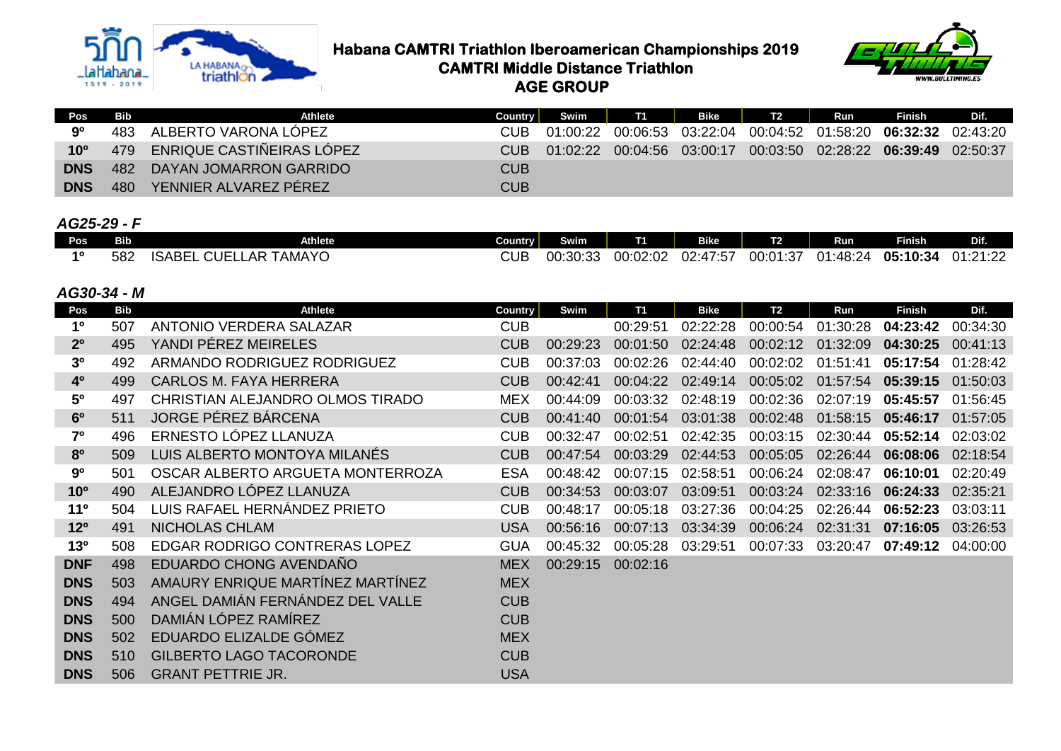

**Habana CAMTRI Triathlon Iberoamerican Championships 2019**<br>Triathlon **CAMTRI Middle Distance Triathlon CAMTRI Middle Distance Triathlon AGE GROUP**



| <b>Pos</b>   | Bib | Athlete                          | <b>Country</b> | Swim     | <b>T1</b> | Bike A | T2 | Run | Finish                                                     | Dif. |
|--------------|-----|----------------------------------|----------------|----------|-----------|--------|----|-----|------------------------------------------------------------|------|
| 9º           | 483 | ALBERTO VARONA LÓPEZ             | CUB.           | 01:00:22 |           |        |    |     | 00:06:53  03:22:04  00:04:52  01:58:20  06:32:32  02:43:20 |      |
| $10^{\circ}$ | 479 | <b>ENRIQUE CASTIÑEIRAS LÓPEZ</b> | CUB.           | 01:02:22 | 00:04:56  |        |    |     | 03:00:17 00:03:50 02:28:22 06:39:49 02:50:37               |      |
| <b>DNS</b>   |     | 482 DAYAN JOMARRON GARRIDO       | <b>CUB</b>     |          |           |        |    |     |                                                            |      |
| <b>DNS</b>   | 480 | YENNIER ALVAREZ PÉREZ            | <b>CUB</b>     |          |           |        |    |     |                                                            |      |

## *AG25-29 - F*

| . .<br>Pos' | Bib         | <b>Athlete</b>                                       | Country I | _<br>Swim | --       | <b>Bike</b>                            | тq<br>r  | Run      | <b>Finish</b> | --<br>.                              |
|-------------|-------------|------------------------------------------------------|-----------|-----------|----------|----------------------------------------|----------|----------|---------------|--------------------------------------|
| 40          | 582<br>JUZ. | _AR<br><b>TAMAYO</b><br><b>CUEL</b><br><b>ISABEL</b> | CUB       | 00:30:33  | 00:02:02 | オフ・トラ<br>$\sim$<br>י ∆∙י<br>UZ.<br>' ب | 00:01:37 | ገ1:48:24 | 05:10:34      | .01.00<br>$\Omega$<br>. . <i>. .</i> |

#### *AG30-34 - M*

| <b>Pos</b>      | <b>Bib</b> | <b>Athlete</b>                       | Country    | Swim     | T1       | <b>Bike</b> | <b>T2</b> | Run      | <b>Finish</b> | Dif.     |
|-----------------|------------|--------------------------------------|------------|----------|----------|-------------|-----------|----------|---------------|----------|
| 1 <sup>0</sup>  | 507        | ANTONIO VERDERA SALAZAR              | <b>CUB</b> |          | 00:29:51 | 02:22:28    | 00:00:54  | 01:30:28 | 04:23:42      | 00:34:30 |
| 2 <sup>0</sup>  | 495        | YANDI PÉREZ MEIRELES                 | <b>CUB</b> | 00:29:23 | 00:01:50 | 02:24:48    | 00:02:12  | 01:32:09 | 04:30:25      | 00:41:13 |
| 3 <sup>o</sup>  | 492        | ARMANDO RODRIGUEZ RODRIGUEZ          | <b>CUB</b> | 00:37:03 | 00:02:26 | 02:44:40    | 00:02:02  | 01:51:41 | 05:17:54      | 01:28:42 |
| 4 <sup>o</sup>  | 499        | <b>CARLOS M. FAYA HERRERA</b>        | <b>CUB</b> | 00:42:41 | 00:04:22 | 02:49:14    | 00:05:02  | 01:57:54 | 05:39:15      | 01:50:03 |
| 5 <sup>o</sup>  | 497        | CHRISTIAN ALEJANDRO OLMOS TIRADO     | <b>MEX</b> | 00:44:09 | 00:03:32 | 02:48:19    | 00:02:36  | 02:07:19 | 05:45:57      | 01:56:45 |
| 6 <sup>0</sup>  | 511        | JORGE PÉREZ BÁRCENA                  | <b>CUB</b> | 00:41:40 | 00:01:54 | 03:01:38    | 00:02:48  | 01:58:15 | 05:46:17      | 01:57:05 |
| 7 <sup>o</sup>  | 496        | ERNESTO LÓPEZ LLANUZA                | <b>CUB</b> | 00:32:47 | 00:02:51 | 02:42:35    | 00:03:15  | 02:30:44 | 05:52:14      | 02:03:02 |
| 80              | 509        | LUIS ALBERTO MONTOYA MILANÉS         | <b>CUB</b> | 00:47:54 | 00:03:29 | 02:44:53    | 00:05:05  | 02:26:44 | 06:08:06      | 02:18:54 |
| 90              | 501        | OSCAR ALBERTO ARGUETA MONTERROZA     | <b>ESA</b> | 00:48:42 | 00:07:15 | 02:58:51    | 00:06:24  | 02:08:47 | 06:10:01      | 02:20:49 |
| 10 <sup>o</sup> | 490        | ALEJANDRO LÓPEZ LLANUZA              | <b>CUB</b> | 00:34:53 | 00:03:07 | 03:09:51    | 00:03:24  | 02:33:16 | 06:24:33      | 02:35:21 |
| 11 <sup>0</sup> | 504        | LUIS RAFAEL HERNÁNDEZ PRIETO         | <b>CUB</b> | 00:48:17 | 00:05:18 | 03:27:36    | 00:04:25  | 02:26:44 | 06:52:23      | 03:03:11 |
| 12 <sup>o</sup> | 491        | NICHOLAS CHLAM                       | <b>USA</b> | 00:56:16 | 00:07:13 | 03:34:39    | 00:06:24  | 02:31:31 | 07:16:05      | 03:26:53 |
| 13 <sup>0</sup> | 508        | <b>EDGAR RODRIGO CONTRERAS LOPEZ</b> | <b>GUA</b> | 00:45:32 | 00:05:28 | 03:29:51    | 00:07:33  | 03:20:47 | 07:49:12      | 04:00:00 |
| <b>DNF</b>      | 498        | EDUARDO CHONG AVENDAÑO               | <b>MEX</b> | 00:29:15 | 00:02:16 |             |           |          |               |          |
| <b>DNS</b>      | 503        | AMAURY ENRIQUE MARTÍNEZ MARTÍNEZ     | <b>MEX</b> |          |          |             |           |          |               |          |
| <b>DNS</b>      | 494        | ANGEL DAMIÁN FERNÁNDEZ DEL VALLE     | <b>CUB</b> |          |          |             |           |          |               |          |
| <b>DNS</b>      | 500        | DAMIÁN LÓPEZ RAMÍREZ                 | <b>CUB</b> |          |          |             |           |          |               |          |
| <b>DNS</b>      | 502        | EDUARDO ELIZALDE GÓMEZ               | <b>MEX</b> |          |          |             |           |          |               |          |
| <b>DNS</b>      | 510        | <b>GILBERTO LAGO TACORONDE</b>       | <b>CUB</b> |          |          |             |           |          |               |          |
| <b>DNS</b>      | 506        | <b>GRANT PETTRIE JR.</b>             | <b>USA</b> |          |          |             |           |          |               |          |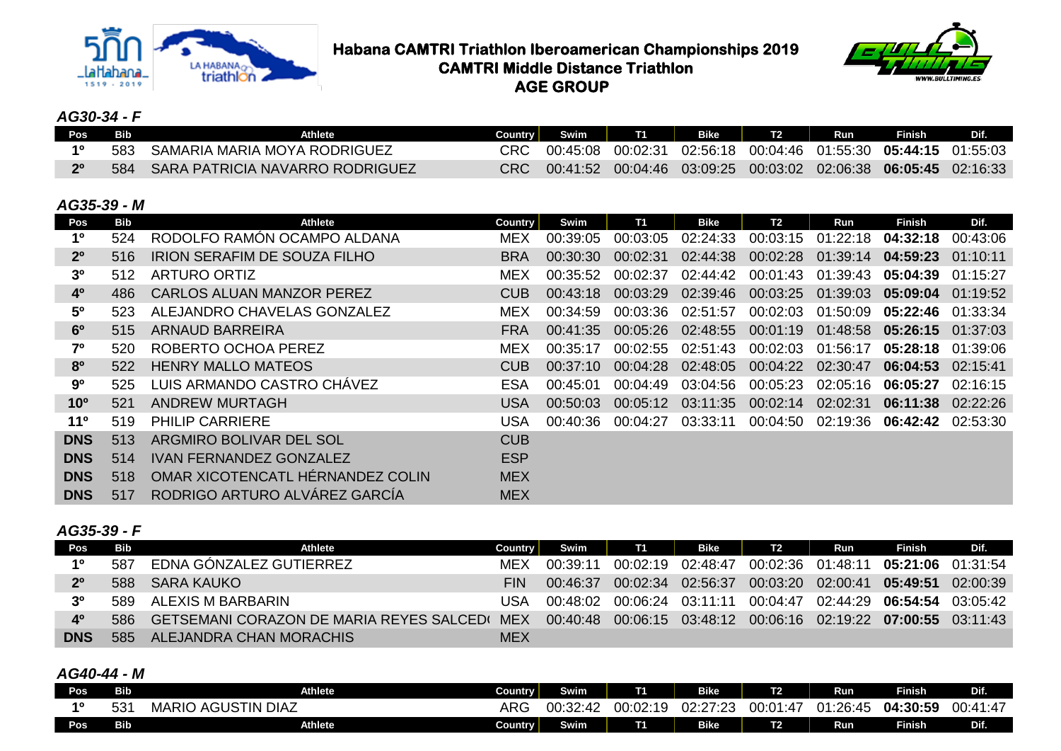



## *AG30-34 - F*

| Pos <sub>-</sub> | Bib | Athlete                         | Country I | Swim I   | T1       | Bike |                              | Run | Finish   | <b>TDIA</b> |
|------------------|-----|---------------------------------|-----------|----------|----------|------|------------------------------|-----|----------|-------------|
|                  | 583 | SAMARIA MARIA MOYA RODRIGUEZ    |           | 00:45:08 | 00:02:31 |      |                              |     |          |             |
| 20               | 584 | SARA PATRICIA NAVARRO RODRIGUEZ |           | 00:41:52 | 00:04:46 |      | $03:09:25$ 00:03:02 02:06:38 |     | 06:05:45 | 02:16:33    |

#### *AG35-39 - M*

| Pos             | <b>Bib</b> | Athlete                             | Country    | Swim     | <b>T1</b> | <b>Bike</b> | <b>T2</b>         | Run      | <b>Finish</b>     | Dif.     |
|-----------------|------------|-------------------------------------|------------|----------|-----------|-------------|-------------------|----------|-------------------|----------|
| 1 <sup>0</sup>  | 524        | RODOLFO RAMÓN OCAMPO ALDANA         | <b>MEX</b> | 00:39:05 | 00:03:05  | 02:24:33    | 00:03:15          | 01:22:18 | 04:32:18          | 00:43:06 |
| 2 <sup>o</sup>  | 516        | <b>IRION SERAFIM DE SOUZA FILHO</b> | <b>BRA</b> | 00:30:30 | 00:02:31  | 02:44:38    | 00:02:28          | 01:39:14 | 04:59:23          | 01:10:11 |
| 3 <sup>o</sup>  | 512        | <b>ARTURO ORTIZ</b>                 | <b>MEX</b> | 00:35:52 | 00:02:37  | 02:44:42    | 00:01:43          | 01:39:43 | 05:04:39          | 01:15:27 |
| 4 <sup>0</sup>  | 486        | <b>CARLOS ALUAN MANZOR PEREZ</b>    | <b>CUB</b> | 00:43:18 | 00:03:29  | 02:39:46    | 00:03:25          | 01:39:03 | 05:09:04          | 01:19:52 |
| $5^{\circ}$     | 523        | ALEJANDRO CHAVELAS GONZALEZ         | <b>MEX</b> | 00:34:59 | 00:03:36  | 02:51:57    | 00:02:03          | 01:50:09 | 05:22:46          | 01:33:34 |
| 6 <sup>o</sup>  | 515        | <b>ARNAUD BARREIRA</b>              | FRA        | 00:41:35 | 00:05:26  | 02:48:55    | 00:01:19          | 01:48:58 | 05:26:15          | 01:37:03 |
| 7 <sup>o</sup>  | 520        | ROBERTO OCHOA PEREZ                 | <b>MEX</b> | 00:35:17 | 00:02:55  | 02:51:43    | 00:02:03          | 01:56:17 | 05:28:18          | 01:39:06 |
| 8 <sup>o</sup>  | 522        | <b>HENRY MALLO MATEOS</b>           | <b>CUB</b> | 00:37:10 | 00:04:28  | 02:48:05    | 00:04:22 02:30:47 |          | 06:04:53 02:15:41 |          |
| 90              | 525        | LUIS ARMANDO CASTRO CHÁVEZ          | <b>ESA</b> | 00:45:01 | 00:04:49  | 03:04:56    | 00:05:23          | 02:05:16 | 06:05:27          | 02:16:15 |
| 10 <sup>o</sup> | 521        | <b>ANDREW MURTAGH</b>               | USA        | 00:50:03 | 00:05:12  | 03:11:35    | 00:02:14          | 02:02:31 | 06:11:38          | 02:22:26 |
| 11 <sup>°</sup> | 519        | <b>PHILIP CARRIERE</b>              | USA        | 00:40:36 | 00:04:27  | 03:33:11    | 00:04:50          | 02:19:36 | 06:42:42          | 02:53:30 |
| <b>DNS</b>      | 513        | ARGMIRO BOLIVAR DEL SOL             | <b>CUB</b> |          |           |             |                   |          |                   |          |
| <b>DNS</b>      | 514        | <b>IVAN FERNANDEZ GONZALEZ</b>      | <b>ESP</b> |          |           |             |                   |          |                   |          |
| <b>DNS</b>      | 518        | OMAR XICOTENCATL HÉRNANDEZ COLIN    | <b>MEX</b> |          |           |             |                   |          |                   |          |
| <b>DNS</b>      | 517        | RODRIGO ARTURO ALVÁREZ GARCÍA       | <b>MEX</b> |          |           |             |                   |          |                   |          |

#### *AG35-39 - F*

| Pos            | <b>Bib</b> | Athlete                                             | Country    | Swim     | <b>T1</b> | <b>Bike</b>                                      | <b>T2</b>         | Run      | <b>Finish</b>     | Dif.     |
|----------------|------------|-----------------------------------------------------|------------|----------|-----------|--------------------------------------------------|-------------------|----------|-------------------|----------|
| 10             | 587        | EDNA GÓNZALEZ GUTIERREZ                             | MFX        | 00.39.11 | 00.02.19  | 02:48:47                                         | 00:02:36          | 01:48:11 | 05:21:06          | 01:31:54 |
| 2 <sup>0</sup> | 588        | <b>SARA KAUKO</b>                                   | <b>FIN</b> | 00:46:37 | 00:02:34  | 02:56:37                                         | 00:03:20 02:00:41 |          | 05:49:51          | 02:00:39 |
| 3 <sup>0</sup> | 589.       | ALEXIS M BARBARIN                                   | USA        | 00`48`02 | 00:06:24  | 03:11:11                                         | 00:04:47          |          | 02:44:29 06:54:54 | 03.05.42 |
| 40             | 586        | <b>GETSEMANI CORAZON DE MARIA REYES SALCEDI MEX</b> |            | 00:40:48 |           | 00:06:15  03:48:12  00:06:16  02:19:22  07:00:55 |                   |          |                   | 03.11.43 |
| <b>DNS</b>     |            | ALEJANDRA CHAN MORACHIS                             | MEX        |          |           |                                                  |                   |          |                   |          |

## *AG40-44 - M*

| Pos | <b>Bib</b> | Athlete                            | Country    | Swim     | T.       | <b>Bike</b> | T <sub>2</sub> | Run                        | <b>Finish</b> | <b>Dif</b> |
|-----|------------|------------------------------------|------------|----------|----------|-------------|----------------|----------------------------|---------------|------------|
| 10  | ິ          | <b>GUSTIN DIAZ</b><br>MARIC<br>AG' | NDC<br>ARG | 00:32:42 | 00:02:19 | 02:27:23    | 00:01:47       | $\sim$<br>3:45<br>ノベ<br>J. | 04:30:59      | 00:41:47   |
| Pos | Bib        | Athlete                            | Country    | Swim     | Τ1       | <b>Bike</b> | T <sub>2</sub> | Run                        | <b>Finish</b> | Dif.       |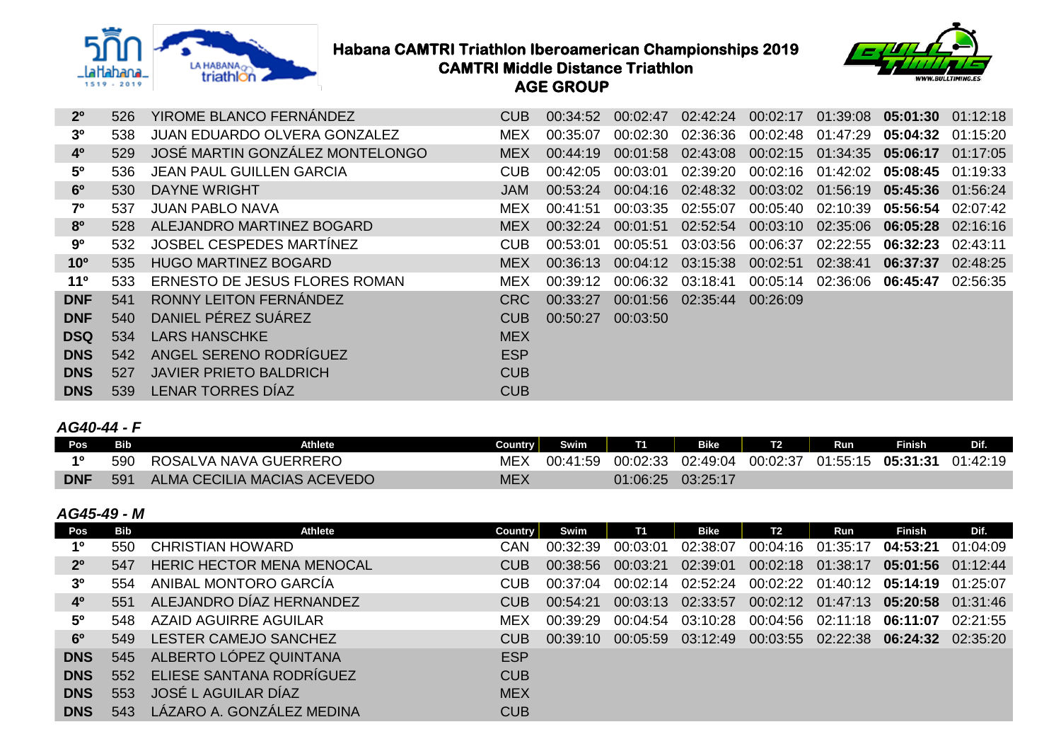



## **Habana CAMTRI Triathlon Iberoamerican Championships 2019**<br>triathlon<br>**CAMTRI Middle Distance Triathlon CAMTRI Middle Distance Triathlon AGE GROUP**

| 2 <sup>o</sup>  | 526 | YIROME BLANCO FERNÁNDEZ             | <b>CUB</b> | 00:34:52 | 00:02:47 | 02:42:24 | 00:02:17 | 01:39:08          | $05:01:30$ $01:12:18$ |          |
|-----------------|-----|-------------------------------------|------------|----------|----------|----------|----------|-------------------|-----------------------|----------|
| 3 <sup>0</sup>  | 538 | <b>JUAN EDUARDO OLVERA GONZALEZ</b> | <b>MEX</b> | 00:35:07 | 00:02:30 | 02:36:36 | 00:02:48 | 01:47:29          | 05:04:32              | 01:15:20 |
| 4 <sup>0</sup>  | 529 | JOSÉ MARTIN GONZÁLEZ MONTELONGO     | <b>MEX</b> | 00:44:19 | 00:01:58 | 02:43:08 |          | 00:02:15 01:34:35 | 05:06:17              | 01:17:05 |
| $5^{\circ}$     | 536 | <b>JEAN PAUL GUILLEN GARCIA</b>     | <b>CUB</b> | 00:42:05 | 00:03:01 | 02:39:20 | 00:02:16 | 01:42:02          | 05:08:45              | 01:19:33 |
| 6 <sup>o</sup>  | 530 | <b>DAYNE WRIGHT</b>                 | <b>JAM</b> | 00:53:24 | 00:04:16 | 02:48:32 | 00:03:02 | 01:56:19          | 05:45:36              | 01:56:24 |
| 70              | 537 | <b>JUAN PABLO NAVA</b>              | <b>MEX</b> | 00:41:51 | 00:03:35 | 02:55:07 | 00:05:40 | 02:10:39          | 05:56:54 02:07:42     |          |
| 8 <sup>o</sup>  | 528 | ALEJANDRO MARTINEZ BOGARD           | <b>MEX</b> | 00:32:24 | 00:01:51 | 02:52:54 | 00:03:10 | 02:35:06          | 06:05:28              | 02:16:16 |
| 90              | 532 | JOSBEL CESPEDES MARTINEZ            | <b>CUB</b> | 00:53:01 | 00:05:51 | 03:03:56 | 00:06:37 | 02:22:55          | 06:32:23              | 02:43:11 |
| 10 <sup>o</sup> | 535 | <b>HUGO MARTINEZ BOGARD</b>         | <b>MEX</b> | 00:36:13 | 00:04:12 | 03:15:38 | 00:02:51 | 02:38:41          | 06:37:37              | 02:48:25 |
| 11 <sup>°</sup> | 533 | ERNESTO DE JESUS FLORES ROMAN       | <b>MEX</b> | 00:39:12 | 00:06:32 | 03:18:41 | 00:05:14 | 02:36:06          | 06:45:47              | 02:56:35 |
| <b>DNF</b>      | 541 | RONNY LEITON FERNÁNDEZ              | <b>CRC</b> | 00:33:27 | 00:01:56 | 02:35:44 | 00:26:09 |                   |                       |          |
| <b>DNF</b>      | 540 | DANIEL PÉREZ SUÁREZ                 | <b>CUB</b> | 00:50:27 | 00:03:50 |          |          |                   |                       |          |
| <b>DSQ</b>      | 534 | <b>LARS HANSCHKE</b>                | <b>MEX</b> |          |          |          |          |                   |                       |          |
| <b>DNS</b>      | 542 | ANGEL SERENO RODRÍGUEZ              | <b>ESP</b> |          |          |          |          |                   |                       |          |
| <b>DNS</b>      | 527 | <b>JAVIER PRIETO BALDRICH</b>       | <b>CUB</b> |          |          |          |          |                   |                       |          |
| <b>DNS</b>      | 539 | <b>LENAR TORRES DÍAZ</b>            | <b>CUB</b> |          |          |          |          |                   |                       |          |

## *AG40-44 - F*

| Pos        | Bib | Athlete                     | Country    | <b>Swim</b> | T1       | <b>Bike</b> |          | Run      | <b>Finish</b> | Dif.     |
|------------|-----|-----------------------------|------------|-------------|----------|-------------|----------|----------|---------------|----------|
| 40         | 59C | ROSALVA NAVA GUERRERO       |            | 00:41:59    | 00:02:33 | 02:49:04    | 00:02:37 | 01:55:15 | 05:31:31      | 01:42:19 |
| <b>DNF</b> | 591 | ALMA CECILIA MACIAS ACEVEDO | <b>MEX</b> |             | 01:06:25 | 03:25:17    |          |          |               |          |

#### *AG45-49 - M*

| Pos            | Bib  | Athlete                          | Country    | Swim     | <b>T1</b> | Bike     | T <sub>2</sub>                      | Run                                 | <b>Finish</b>     | Dif.     |
|----------------|------|----------------------------------|------------|----------|-----------|----------|-------------------------------------|-------------------------------------|-------------------|----------|
| $1^{\circ}$    | 550  | <b>CHRISTIAN HOWARD</b>          | CAN        | 00:32:39 | 00:03:01  | 02:38:07 | 00:04:16                            | 01:35:17                            | 04:53:21          | 01:04:09 |
| 2 <sup>o</sup> | 547  | <b>HERIC HECTOR MENA MENOCAL</b> | <b>CUB</b> | 00:38:56 | 00:03:21  | 02:39:01 |                                     | 00:02:18 01:38:17                   | 05:01:56 01:12:44 |          |
| 3 <sup>o</sup> | 554  | ANIBAL MONTORO GARCÍA            | CUB.       | 00:37:04 | 00:02:14  |          | 02:52:24 00:02:22 01:40:12 05:14:19 |                                     |                   | 01.25.07 |
| 4 <sup>0</sup> | 551  | ALEJANDRO DÍAZ HERNANDEZ         | CUB.       | 00:54:21 | 00:03:13  | 02:33:57 |                                     | 00:02:12 01:47:13 05:20:58 01:31:46 |                   |          |
| 5 <sup>o</sup> | 548. | AZAID AGUIRRE AGUILAR            | <b>MEX</b> | 00:39:29 | 00:04:54  | 03:10:28 | 00:04:56 02:11:18 06:11:07          |                                     |                   | 02.21.55 |
| 6 <sup>o</sup> | 549  | <b>LESTER CAMEJO SANCHEZ</b>     | <b>CUB</b> | 00:39:10 | 00:05:59  | 03:12:49 |                                     | 00:03:55 02:22:38 06:24:32 02:35:20 |                   |          |
| <b>DNS</b>     |      | 545 ALBERTO LÓPEZ QUINTANA       | <b>ESP</b> |          |           |          |                                     |                                     |                   |          |
| <b>DNS</b>     | 552  | ELIESE SANTANA RODRÍGUEZ         | <b>CUB</b> |          |           |          |                                     |                                     |                   |          |
| <b>DNS</b>     | 553  | JOSÉ L AGUILAR DÍAZ              | <b>MEX</b> |          |           |          |                                     |                                     |                   |          |
| <b>DNS</b>     | 543  | LÁZARO A. GONZÁLEZ MEDINA        | <b>CUB</b> |          |           |          |                                     |                                     |                   |          |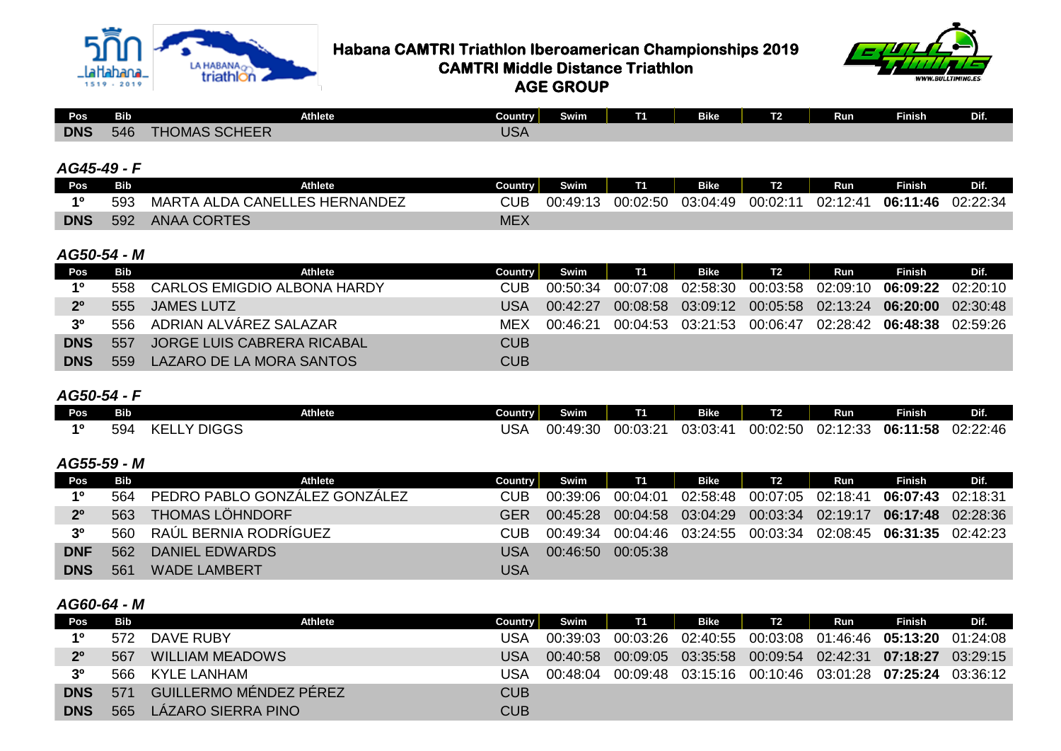



**Habana CAMTRI Triathlon Iberoamerican Championships 2019**<br>Triathlon **CAMTRI Middle Distance Triathlon CAMTRI Middle Distance Triathlon AGE GROUP**

| Pos        | <b>Bib</b> | <b>Athlete</b>       | Country                  | Swim | T. | <b>Bike</b> | <u>та.</u> | <b>Run</b> | <b>Finish</b> | <b>DIE</b><br>- |
|------------|------------|----------------------|--------------------------|------|----|-------------|------------|------------|---------------|-----------------|
| <b>DNS</b> | 546        | <b>THOMAS SCHEER</b> | TC <sub>h</sub><br>ַ ∧כ∪ |      |    |             |            |            |               |                 |

#### *AG45-49 - F*

| <b>Pos</b> | Bib | <b>Athlete</b>                | Country <b>i</b> | Swim     |          | <b>Bike</b> | T <sub>2</sub> | Run      | <b>Finish</b> | Dif.     |
|------------|-----|-------------------------------|------------------|----------|----------|-------------|----------------|----------|---------------|----------|
| 10         | 593 | MARTA ALDA CANELLES HERNANDEZ | <b>CUB</b>       | 00:49:13 | 00:02:50 | 03:04:49    | 00:02:11       | 02:12:41 | 06:11:46      | 02:22:34 |
| <b>DNS</b> | 592 | <b>ANAA CORTES</b>            | <b>MEX</b>       |          |          |             |                |          |               |          |

### *AG50-54 - M*

| Pos            | Bib | Athlete                         | Country    | <b>Swim</b> | <b>T1</b> | Bike | T2 | Run | Finish                                              | Dif. |
|----------------|-----|---------------------------------|------------|-------------|-----------|------|----|-----|-----------------------------------------------------|------|
| 10             |     | 558 CARLOS EMIGDIO ALBONA HARDY | CUB        | 00:50:34    | 00:07:08  |      |    |     | 06:09:22 02:20:10                                   |      |
| 2 <sup>0</sup> | 555 | <b>JAMES LUTZ</b>               | USA        | 00:42:27    | 00:08:58  |      |    |     | 03:09:12 00:05:58 02:13:24 <b>06:20:00</b> 02:30:48 |      |
| 3 <sup>0</sup> |     | 556 ADRIAN ALVÁREZ SALAZAR      | MEX        | 00:46:21    | 00:04:53  |      |    |     | 03:21:53 00:06:47 02:28:42 06:48:38 02:59:26        |      |
| <b>DNS</b>     | 557 | JORGE LUIS CABRERA RICABAL      | CUB        |             |           |      |    |     |                                                     |      |
| <b>DNS</b>     | 559 | LAZARO DE LA MORA SANTOS        | <b>CUB</b> |             |           |      |    |     |                                                     |      |

### *AG50-54 - F*

| Pos | <b>Bib</b> | <b>Athlete</b>                     | Country   | Swim     | -        | <b>Bike</b> | $-2$<br>LZ      | _<br>Run | <b>Finish</b> | Dif.     |
|-----|------------|------------------------------------|-----------|----------|----------|-------------|-----------------|----------|---------------|----------|
| 40  | 594        | <b>V DICCC</b><br>╭⊏<br>כטטוע<br>◝ | פו<br>udh | 00:49:30 | 00:03:21 | 03:03:41    | 00:02:50<br>.JU | 02:12:33 | 06:11:58      | 02:22:46 |

## *AG55-59 - M*

| Pos            | Bib | Athlete                           | Country | Swim     | T1       | Bike | T <sub>2</sub> | Run | <b>Finish</b>                                              | Dif.     |
|----------------|-----|-----------------------------------|---------|----------|----------|------|----------------|-----|------------------------------------------------------------|----------|
| 10             |     | 564 PEDRO PABLO GONZÁLEZ GONZÁLEZ | CUB.    | 00:39:06 | 00:04:01 |      |                |     | 06:07:43                                                   | 02:18:31 |
| 2 <sup>0</sup> | 563 | <b>THOMAS LÖHNDORF</b>            | GFR     | 00:45:28 |          |      |                |     | 00:04:58  03:04:29  00:03:34  02:19:17  06:17:48  02:28:36 |          |
| 3 <sup>o</sup> |     | 560 RAÚL BERNIA RODRÍGUEZ         | CUB.    | 00:49:34 | 00:04:46 |      |                |     | 03:24:55 00:03:34 02:08:45 06:31:35 02:42:23               |          |
| <b>DNF</b>     | 562 | DANIEL EDWARDS                    | USA     | 00:46:50 | 00:05:38 |      |                |     |                                                            |          |
| <b>DNS</b>     | 561 | <b>WADE LAMBERT</b>               | USA     |          |          |      |                |     |                                                            |          |

## *AG60-64 - M*

| Pos            | Bib | Athlete                | <b>Country</b> | Swim     | <b>T1</b> | Bike | T2 | Run | <b>Finish</b>                                              | Dif. |
|----------------|-----|------------------------|----------------|----------|-----------|------|----|-----|------------------------------------------------------------|------|
| 10             | 572 | DAVE RUBY              | USA            | 00:39:03 | 00:03:26  |      |    |     | 02:40:55 00:03:08 01:46:46 <b>05:13:20</b> 01:24:08        |      |
| 2 <sup>0</sup> | 567 | <b>WILLIAM MEADOWS</b> | USA            | 00:40:58 |           |      |    |     | 00:09:05 03:35:58 00:09:54 02:42:31 07:18:27 03:29:15      |      |
| 3 <sup>0</sup> | 566 | KYLE LANHAM            | USA            | 00:48:04 |           |      |    |     | 00:09:48  03:15:16  00:10:46  03:01:28  07:25:24  03:36:12 |      |
| <b>DNS</b>     | 571 | GUILLERMO MÉNDEZ PÉREZ | <b>CUB</b>     |          |           |      |    |     |                                                            |      |
| <b>DNS</b>     | 565 | LÁZARO SIERRA PINO     | <b>CUB</b>     |          |           |      |    |     |                                                            |      |